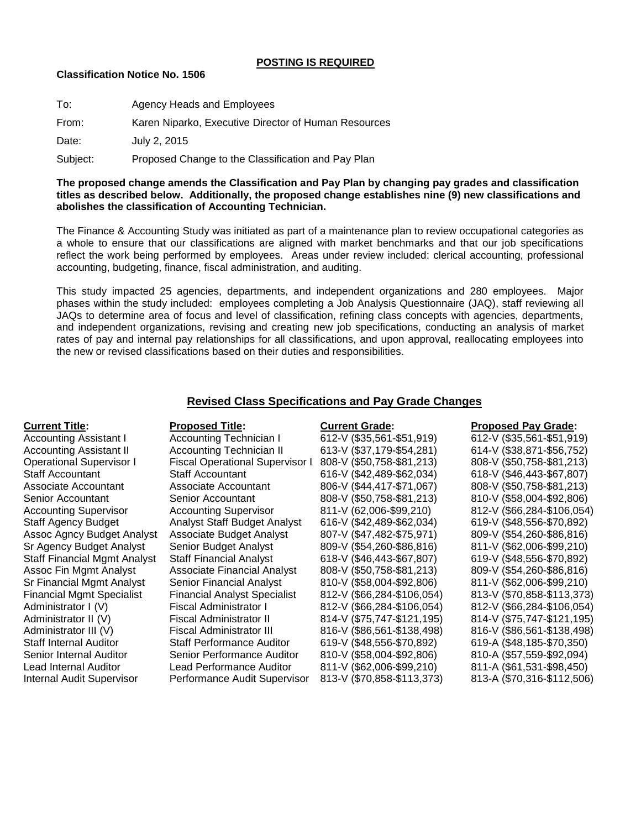## **POSTING IS REQUIRED**

## **Classification Notice No. 1506**

| To:      | Agency Heads and Employees                           |
|----------|------------------------------------------------------|
| From:    | Karen Niparko, Executive Director of Human Resources |
| Date:    | July 2, 2015                                         |
| Subject: | Proposed Change to the Classification and Pay Plan   |

## **The proposed change amends the Classification and Pay Plan by changing pay grades and classification titles as described below. Additionally, the proposed change establishes nine (9) new classifications and abolishes the classification of Accounting Technician.**

The Finance & Accounting Study was initiated as part of a maintenance plan to review occupational categories as a whole to ensure that our classifications are aligned with market benchmarks and that our job specifications reflect the work being performed by employees. Areas under review included: clerical accounting, professional accounting, budgeting, finance, fiscal administration, and auditing.

This study impacted 25 agencies, departments, and independent organizations and 280 employees. Major phases within the study included: employees completing a Job Analysis Questionnaire (JAQ), staff reviewing all JAQs to determine area of focus and level of classification, refining class concepts with agencies, departments, and independent organizations, revising and creating new job specifications, conducting an analysis of market rates of pay and internal pay relationships for all classifications, and upon approval, reallocating employees into the new or revised classifications based on their duties and responsibilities.

# **Revised Class Specifications and Pay Grade Changes**

## **Current Title: Proposed Title: Current Grade: Proposed Pay Grade:** Accounting Assistant I Accounting Technician I 612-V (\$35,561-\$51,919) 612-V (\$35,561-\$51,919) Accounting Assistant II Accounting Technician II 613-V (\$37,179-\$54,281) 614-V (\$38,871-\$56,752) Operational Supervisor I Fiscal Operational Supervisor I 808-V (\$50,758-\$81,213) 808-V (\$50,758-\$81,213) Staff Accountant Staff Accountant 616-V (\$42,489-\$62,034) 618-V (\$46,443-\$67,807) Associate Accountant Associate Accountant 806-V (\$44,417-\$71,067) 808-V (\$50,758-\$81,213) Senior Accountant Senior Accountant 808-V (\$50,758-\$81,213) 810-V (\$58,004-\$92,806) Accounting Supervisor Accounting Supervisor 811-V (62,006-\$99,210) 812-V (\$66,284-\$106,054) Staff Agency Budget Analyst Staff Budget Analyst 616-V (\$42,489-\$62,034) 619-V (\$48,556-\$70,892) Assoc Agncy Budget Analyst Associate Budget Analyst 807-V (\$47,482-\$75,971) 809-V (\$54,260-\$86,816) Sr Agency Budget Analyst Senior Budget Analyst 809-V (\$54,260-\$86,816) 811-V (\$62,006-\$99,210) Staff Financial Mgmt Analyst Staff Financial Analyst 618-V (\$46,443-\$67,807) 619-V (\$48,556-\$70,892) Assoc Fin Mgmt Analyst Associate Financial Analyst 808-V (\$50,758-\$81,213) 809-V (\$54,260-\$86,816) Sr Financial Mgmt Analyst Senior Financial Analyst 810-V (\$58,004-\$92,806) 811-V (\$62,006-\$99,210) Financial Mgmt Specialist Financial Analyst Specialist 812-V (\$66,284-\$106,054) 813-V (\$70,858-\$113,373) Administrator I (V) Fiscal Administrator I 812-V (\$66,284-\$106,054) 812-V (\$66,284-\$106,054) Administrator II (V) Fiscal Administrator II 814-V (\$75,747-\$121,195) 814-V (\$75,747-\$121,195) Administrator III (V) Fiscal Administrator III 816-V (\$86,561-\$138,498) 816-V (\$86,561-\$138,498) Staff Internal Auditor Staff Performance Auditor 619-V (\$48,556-\$70,892) 619-A (\$48,185-\$70,350) Senior Internal Auditor Senior Performance Auditor 810-V (\$58,004-\$92,806) 810-A (\$57,559-\$92,094) Lead Internal Auditor Lead Performance Auditor 811-V (\$62,006-\$99,210) 811-A (\$61,531-\$98,450) Internal Audit Supervisor Performance Audit Supervisor 813-V (\$70,858-\$113,373) 813-A (\$70,316-\$112,506)